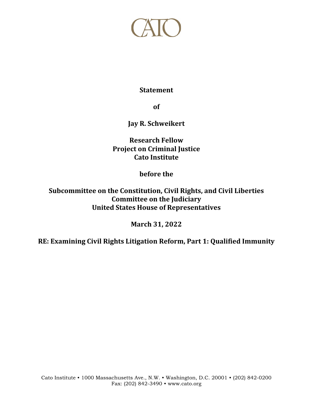

## **Statement**

**of**

**Jay R. Schweikert**

**Research Fellow Project on Criminal Justice Cato Institute**

**before the**

**Subcommittee on the Constitution, Civil Rights, and Civil Liberties Committee on the Judiciary United States House of Representatives**

**March 31, 2022**

**RE: Examining Civil Rights Litigation Reform, Part 1: Qualified Immunity**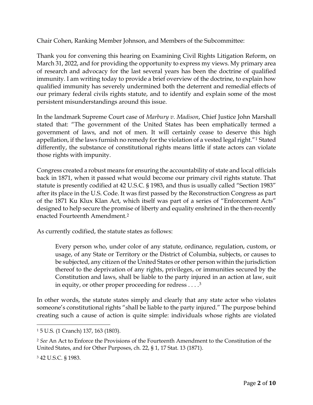Chair Cohen, Ranking Member Johnson, and Members of the Subcommittee:

Thank you for convening this hearing on Examining Civil Rights Litigation Reform, on March 31, 2022, and for providing the opportunity to express my views. My primary area of research and advocacy for the last several years has been the doctrine of qualified immunity. I am writing today to provide a brief overview of the doctrine, to explain how qualified immunity has severely undermined both the deterrent and remedial effects of our primary federal civils rights statute, and to identify and explain some of the most persistent misunderstandings around this issue.

In the landmark Supreme Court case of *Marbury v. Madison*, Chief Justice John Marshall stated that: "The government of the United States has been emphatically termed a government of laws, and not of men. It will certainly cease to deserve this high appellation, if the laws furnish no remedy for the violation of a vested legal right."<sup>[1](#page-1-0)</sup> Stated differently, the substance of constitutional rights means little if state actors can violate those rights with impunity.

Congress created a robust means for ensuring the accountability of state and local officials back in 1871, when it passed what would become our primary civil rights statute. That statute is presently codified at 42 U.S.C. § 1983, and thus is usually called "Section 1983" after its place in the U.S. Code. It was first passed by the Reconstruction Congress as part of the 1871 Ku Klux Klan Act, which itself was part of a series of "Enforcement Acts" designed to help secure the promise of liberty and equality enshrined in the then-recently enacted Fourteenth Amendment.[2](#page-1-1)

As currently codified, the statute states as follows:

Every person who, under color of any statute, ordinance, regulation, custom, or usage, of any State or Territory or the District of Columbia, subjects, or causes to be subjected, any citizen of the United States or other person within the jurisdiction thereof to the deprivation of any rights, privileges, or immunities secured by the Constitution and laws, shall be liable to the party injured in an action at law, suit in equity, or other proper proceeding for redress  $\dots$ <sup>[3](#page-1-2)</sup>

In other words, the statute states simply and clearly that any state actor who violates someone's constitutional rights "shall be liable to the party injured." The purpose behind creating such a cause of action is quite simple: individuals whose rights are violated

<span id="page-1-0"></span><sup>1</sup> 5 U.S. (1 Cranch) 137, 163 (1803).

<span id="page-1-1"></span><sup>2</sup> *See* An Act to Enforce the Provisions of the Fourteenth Amendment to the Constitution of the United States, and for Other Purposes, ch. 22, § 1, 17 Stat. 13 (1871).

<span id="page-1-2"></span><sup>3</sup> 42 U.S.C. § 1983.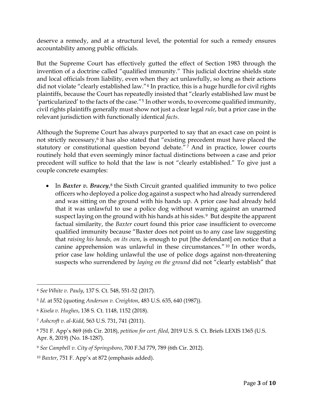deserve a remedy, and at a structural level, the potential for such a remedy ensures accountability among public officials.

But the Supreme Court has effectively gutted the effect of Section 1983 through the invention of a doctrine called "qualified immunity." This judicial doctrine shields state and local officials from liability, even when they act unlawfully, so long as their actions did not violate "clearly established law."<sup>[4](#page-2-0)</sup> In practice, this is a huge hurdle for civil rights plaintiffs, because the Court has repeatedly insisted that "clearly established law must be 'particularized' to the facts of the case."[5](#page-2-1) In other words, to overcome qualified immunity, civil rights plaintiffs generally must show not just a clear legal *rule*, but a prior case in the relevant jurisdiction with functionally identical *facts*.

Although the Supreme Court has always purported to say that an exact case on point is not strictly necessary,<sup>[6](#page-2-2)</sup> it has also stated that "existing precedent must have placed the statutory or constitutional question beyond debate."<sup>[7](#page-2-3)</sup> And in practice, lower courts routinely hold that even seemingly minor factual distinctions between a case and prior precedent will suffice to hold that the law is not "clearly established." To give just a couple concrete examples:

• In *Baxter v. Bracey*,<sup>[8](#page-2-4)</sup> the Sixth Circuit granted qualified immunity to two police officers who deployed a police dog against a suspect who had already surrendered and was sitting on the ground with his hands up. A prior case had already held that it was unlawful to use a police dog without warning against an unarmed suspect laying on the ground with his hands at his sides.<sup>[9](#page-2-5)</sup> But despite the apparent factual similarity, the *Baxter* court found this prior case insufficient to overcome qualified immunity because "Baxter does not point us to any case law suggesting that *raising his hands, on its own*, is enough to put [the defendant] on notice that a canine apprehension was unlawful in these circumstances." [10](#page-2-6) In other words, prior case law holding unlawful the use of police dogs against non-threatening suspects who surrendered by *laying on the ground* did not "clearly establish" that

<span id="page-2-0"></span><sup>4</sup> *See White v. Pauly*, 137 S. Ct. 548, 551-52 (2017).

<span id="page-2-1"></span><sup>5</sup> *Id.* at 552 (quoting *Anderson v. Creighton*, 483 U.S. 635, 640 (1987)).

<span id="page-2-2"></span><sup>6</sup> *Kisela v. Hughes*, 138 S. Ct. 1148, 1152 (2018).

<span id="page-2-3"></span><sup>7</sup> *Ashcroft v. al-Kidd*, 563 U.S. 731, 741 (2011).

<span id="page-2-4"></span><sup>8</sup> 751 F. App'x 869 (6th Cir. 2018), *petition for cert. filed*, 2019 U.S. S. Ct. Briefs LEXIS 1365 (U.S. Apr. 8, 2019) (No. 18-1287).

<span id="page-2-5"></span><sup>9</sup> *See Campbell v. City of Springsboro*, 700 F.3d 779, 789 (6th Cir. 2012).

<span id="page-2-6"></span><sup>10</sup> *Baxter*, 751 F. App'x at 872 (emphasis added).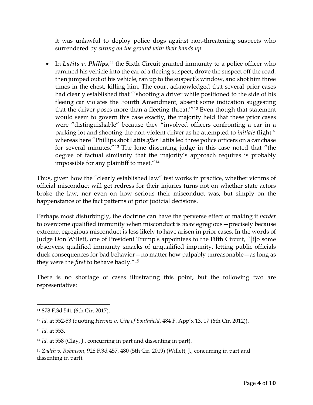it was unlawful to deploy police dogs against non-threatening suspects who surrendered by *sitting on the ground with their hands up*.

• In *Latits v. Philips*,<sup>[11](#page-3-0)</sup> the Sixth Circuit granted immunity to a police officer who rammed his vehicle into the car of a fleeing suspect, drove the suspect off the road, then jumped out of his vehicle, ran up to the suspect's window, and shot him three times in the chest, killing him. The court acknowledged that several prior cases had clearly established that "'shooting a driver while positioned to the side of his fleeing car violates the Fourth Amendment, absent some indication suggesting that the driver poses more than a fleeting threat.'"[12](#page-3-1) Even though that statement would seem to govern this case exactly, the majority held that these prior cases were "distinguishable" because they "involved officers confronting a car in a parking lot and shooting the non-violent driver as he attempted to *initiate* flight," whereas here "Phillips shot Latits *after* Latits led three police officers on a car chase for several minutes."[13](#page-3-2) The lone dissenting judge in this case noted that "the degree of factual similarity that the majority's approach requires is probably impossible for any plaintiff to meet."[14](#page-3-3)

Thus, given how the "clearly established law" test works in practice, whether victims of official misconduct will get redress for their injuries turns not on whether state actors broke the law, nor even on how serious their misconduct was, but simply on the happenstance of the fact patterns of prior judicial decisions.

Perhaps most disturbingly, the doctrine can have the perverse effect of making it *harder* to overcome qualified immunity when misconduct is *more* egregious—precisely because extreme, egregious misconduct is less likely to have arisen in prior cases. In the words of Judge Don Willett, one of President Trump's appointees to the Fifth Circuit, "[t]o some observers, qualified immunity smacks of unqualified impunity, letting public officials duck consequences for bad behavior—no matter how palpably unreasonable—as long as they were the *first* to behave badly."[15](#page-3-4)

There is no shortage of cases illustrating this point, but the following two are representative:

<span id="page-3-0"></span><sup>11</sup> 878 F.3d 541 (6th Cir. 2017).

<span id="page-3-1"></span><sup>12</sup> *Id.* at 552-53 (quoting *Hermiz v. City of Southfield*, 484 F. App'x 13, 17 (6th Cir. 2012)).

<span id="page-3-2"></span><sup>13</sup> *Id.* at 553.

<span id="page-3-3"></span><sup>14</sup> *Id.* at 558 (Clay, J., concurring in part and dissenting in part).

<span id="page-3-4"></span><sup>15</sup> *Zadeh v. Robinson*, 928 F.3d 457, 480 (5th Cir. 2019) (Willett, J., concurring in part and dissenting in part).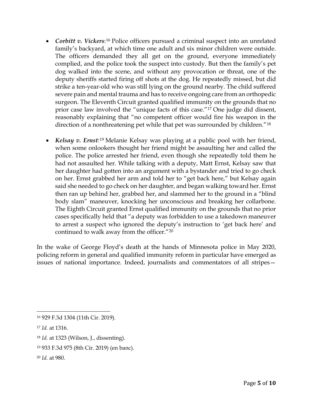- *Corbitt v. Vickers*:<sup>[16](#page-4-0)</sup> Police officers pursued a criminal suspect into an unrelated family's backyard, at which time one adult and six minor children were outside. The officers demanded they all get on the ground, everyone immediately complied, and the police took the suspect into custody. But then the family's pet dog walked into the scene, and without any provocation or threat, one of the deputy sheriffs started firing off shots at the dog. He repeatedly missed, but did strike a ten-year-old who was still lying on the ground nearby. The child suffered severe pain and mental trauma and has to receive ongoing care from an orthopedic surgeon. The Eleventh Circuit granted qualified immunity on the grounds that no prior case law involved the "unique facts of this case."[17](#page-4-1) One judge did dissent, reasonably explaining that "no competent officer would fire his weapon in the direction of a nonthreatening pet while that pet was surrounded by children."[18](#page-4-2)
- *Kelsay v. Ernst*:[19](#page-4-3) Melanie Kelsay was playing at a public pool with her friend, when some onlookers thought her friend might be assaulting her and called the police. The police arrested her friend, even though she repeatedly told them he had not assaulted her. While talking with a deputy, Matt Ernst, Kelsay saw that her daughter had gotten into an argument with a bystander and tried to go check on her. Ernst grabbed her arm and told her to "get back here," but Kelsay again said she needed to go check on her daughter, and began walking toward her. Ernst then ran up behind her, grabbed her, and slammed her to the ground in a "blind body slam" maneuver, knocking her unconscious and breaking her collarbone. The Eighth Circuit granted Ernst qualified immunity on the grounds that no prior cases specifically held that "a deputy was forbidden to use a takedown maneuver to arrest a suspect who ignored the deputy's instruction to 'get back here' and continued to walk away from the officer."[20](#page-4-4)

In the wake of George Floyd's death at the hands of Minnesota police in May 2020, policing reform in general and qualified immunity reform in particular have emerged as issues of national importance. Indeed, journalists and commentators of all stripes—

<span id="page-4-0"></span><sup>16</sup> 929 F.3d 1304 (11th Cir. 2019).

<span id="page-4-1"></span><sup>17</sup> *Id.* at 1316.

<span id="page-4-2"></span><sup>18</sup> *Id.* at 1323 (Wilson, J., dissenting).

<span id="page-4-3"></span><sup>19</sup> 933 F.3d 975 (8th Cir. 2019) (en banc).

<span id="page-4-4"></span><sup>20</sup> *Id.* at 980.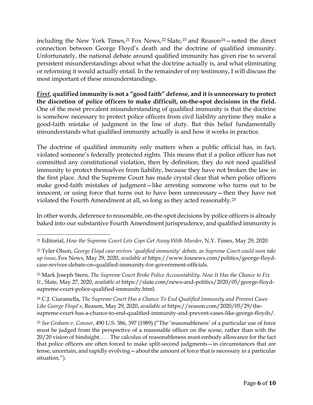including the New York Times,  $21$  Fox News,  $22$  Slate,  $23$  and Reason $24$  – noted the direct connection between George Floyd's death and the doctrine of qualified immunity. Unfortunately, the national debate around qualified immunity has given rise to several persistent misunderstandings about what the doctrine actually is, and what eliminating or reforming it would actually entail. In the remainder of my testimony, I will discuss the most important of these misunderstandings.

*First***, qualified immunity is not a "good faith" defense, and it is unnecessary to protect the discretion of police officers to make difficult, on-the-spot decisions in the field.** One of the most prevalent misunderstanding of qualified immunity is that the doctrine is somehow necessary to protect police officers from civil liability anytime they make a good-faith mistake of judgment in the line of duty. But this belief fundamentally misunderstands what qualified immunity actually is and how it works in practice.

The doctrine of qualified immunity only matters when a public official has, in fact, violated someone's federally protected rights. This means that if a police officer has not committed any constitutional violation, then by definition, they do not need qualified immunity to protect themselves from liability, because they have not broken the law in the first place. And the Supreme Court has made crystal clear that when police officers make good-faith mistakes of judgment—like arresting someone who turns out to be innocent, or using force that turns out to have been unnecessary—then they have not violated the Fourth Amendment at all, so long as they acted reasonably.[25](#page-5-4)

In other words, deference to reasonable, on-the-spot decisions by police officers is already baked into our substantive Fourth Amendment jurisprudence, and qualified immunity is

<span id="page-5-3"></span><sup>24</sup> C.J. Ciaramella, *The Supreme Court Has a Chance To End Qualified Immunity and Prevent Cases Like George Floyd's*, Reason, May 29, 2020, *available at* https://reason.com/2020/05/29/thesupreme-court-has-a-chance-to-end-qualified-immunity-and-prevent-cases-like-george-floyds/.

<span id="page-5-4"></span><sup>25</sup> *See Graham v. Connor*, 490 U.S. 386, 397 (1989) ("The 'reasonableness' of a particular use of force must be judged from the perspective of a reasonable officer on the scene, rather than with the 20/20 vision of hindsight. . . . The calculus of reasonableness must embody allowance for the fact that police officers are often forced to make split-second judgments—in circumstances that are tense, uncertain, and rapidly evolving—about the amount of force that is necessary in a particular situation.").

<span id="page-5-0"></span><sup>21</sup> Editorial, *How the Supreme Court Lets Cops Get Away With Murder*, N.Y. Times, May 29, 2020.

<span id="page-5-1"></span><sup>22</sup> Tyler Olson, *George Floyd case revives 'qualified immunity' debate, as Supreme Court could soon take up issue*, Fox News, May 29, 2020, *available at* https://www.foxnews.com/politics/george-floydcase-revives-debate-on-qualified-immunity-for-government-officials.

<span id="page-5-2"></span><sup>23</sup> Mark Joseph Stern, *The Supreme Court Broke Police Accountability. Now It Has the Chance to Fix It.*, Slate, May 27, 2020, *available at* https://slate.com/news-and-politics/2020/05/george-floydsupreme-court-police-qualified-immunity.html.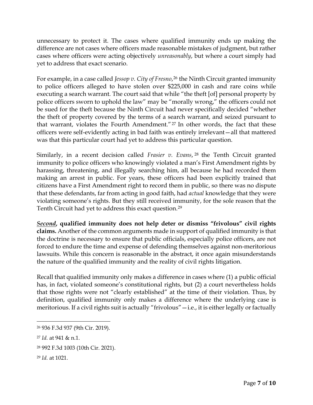unnecessary to protect it. The cases where qualified immunity ends up making the difference are not cases where officers made reasonable mistakes of judgment, but rather cases where officers were acting objectively *unreasonably*, but where a court simply had yet to address that exact scenario.

For example, in a case called *Jessop v. City of Fresno*,<sup>[26](#page-6-0)</sup> the Ninth Circuit granted immunity to police officers alleged to have stolen over \$225,000 in cash and rare coins while executing a search warrant. The court said that while "the theft [of] personal property by police officers sworn to uphold the law" may be "morally wrong," the officers could not be sued for the theft because the Ninth Circuit had never specifically decided "whether the theft of property covered by the terms of a search warrant, and seized pursuant to that warrant, violates the Fourth Amendment."<sup>[27](#page-6-1)</sup> In other words, the fact that these officers were self-evidently acting in bad faith was entirely irrelevant—all that mattered was that this particular court had yet to address this particular question.

Similarly, in a recent decision called *Frasier v. Evans*, [28](#page-6-2) the Tenth Circuit granted immunity to police officers who knowingly violated a man's First Amendment rights by harassing, threatening, and illegally searching him, all because he had recorded them making an arrest in public. For years, these officers had been explicitly trained that citizens have a First Amendment right to record them in public, so there was no dispute that these defendants, far from acting in good faith, had *actual* knowledge that they were violating someone's rights. But they still received immunity, for the sole reason that the Tenth Circuit had yet to address this exact question.[29](#page-6-3)

*Second***, qualified immunity does not help deter or dismiss "frivolous" civil rights claims.** Another of the common arguments made in support of qualified immunity is that the doctrine is necessary to ensure that public officials, especially police officers, are not forced to endure the time and expense of defending themselves against non-meritorious lawsuits. While this concern is reasonable in the abstract, it once again misunderstands the nature of the qualified immunity and the reality of civil rights litigation.

Recall that qualified immunity only makes a difference in cases where (1) a public official has, in fact, violated someone's constitutional rights, but (2) a court nevertheless holds that those rights were not "clearly established" at the time of their violation. Thus, by definition, qualified immunity only makes a difference where the underlying case is meritorious. If a civil rights suit is actually "frivolous" - i.e., it is either legally or factually

<span id="page-6-0"></span><sup>26</sup> 936 F.3d 937 (9th Cir. 2019).

<span id="page-6-1"></span><sup>27</sup> *Id.* at 941 & n.1.

<span id="page-6-2"></span><sup>28</sup> 992 F.3d 1003 (10th Cir. 2021).

<span id="page-6-3"></span><sup>29</sup> *Id.* at 1021.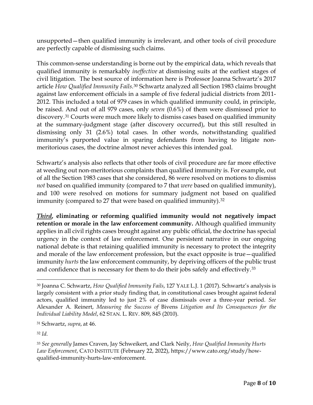unsupported—then qualified immunity is irrelevant, and other tools of civil procedure are perfectly capable of dismissing such claims.

This common-sense understanding is borne out by the empirical data, which reveals that qualified immunity is remarkably *ineffective* at dismissing suits at the earliest stages of civil litigation. The best source of information here is Professor Joanna Schwartz's 2017 article *How Qualified Immunity Fails*.[30](#page-7-0) Schwartz analyzed all Section 1983 claims brought against law enforcement officials in a sample of five federal judicial districts from 2011- 2012. This included a total of 979 cases in which qualified immunity could, in principle, be raised. And out of all 979 cases, only *seven* (0.6%) of them were dismissed prior to discovery.[31](#page-7-1) Courts were much more likely to dismiss cases based on qualified immunity at the summary-judgment stage (after discovery occurred), but this still resulted in dismissing only 31 (2.6%) total cases. In other words, notwithstanding qualified immunity's purported value in sparing defendants from having to litigate nonmeritorious cases, the doctrine almost never achieves this intended goal.

Schwartz's analysis also reflects that other tools of civil procedure are far more effective at weeding out non-meritorious complaints than qualified immunity is. For example, out of all the Section 1983 cases that she considered, 86 were resolved on motions to dismiss *not* based on qualified immunity (compared to 7 that *were* based on qualified immunity), and 100 were resolved on motions for summary judgment not based on qualified immunity (compared to 27 that were based on qualified immunity).<sup>[32](#page-7-2)</sup>

*Third***, eliminating or reforming qualified immunity would not negatively impact retention or morale in the law enforcement community.** Although qualified immunity applies in all civil rights cases brought against any public official, the doctrine has special urgency in the context of law enforcement. One persistent narrative in our ongoing national debate is that retaining qualified immunity is necessary to protect the integrity and morale of the law enforcement profession, but the exact opposite is true—qualified immunity *hurts* the law enforcement community, by depriving officers of the public trust and confidence that is necessary for them to do their jobs safely and effectively.<sup>[33](#page-7-3)</sup>

<span id="page-7-1"></span><sup>31</sup> Schwartz, *supra*, at 46.

<span id="page-7-2"></span><sup>32</sup> *Id.*

<span id="page-7-0"></span><sup>30</sup> Joanna C. Schwartz, *How Qualified Immunity Fails*, 127 YALE L.J. 1 (2017). Schwartz's analysis is largely consistent with a prior study finding that, in constitutional cases brought against federal actors, qualified immunity led to just 2% of case dismissals over a three-year period. *See*  Alexander A. Reinert, *Measuring the Success of* Bivens *Litigation and Its Consequences for the Individual Liability Model*, 62 STAN. L. REV. 809, 845 (2010).

<span id="page-7-3"></span><sup>33</sup> *See generally* James Craven, Jay Schweikert, and Clark Neily, *How Qualified Immunity Hurts Law Enforcement*, CATO INSTITUTE (February 22, 2022), https://www.cato.org/study/howqualified-immunity-hurts-law-enforcement.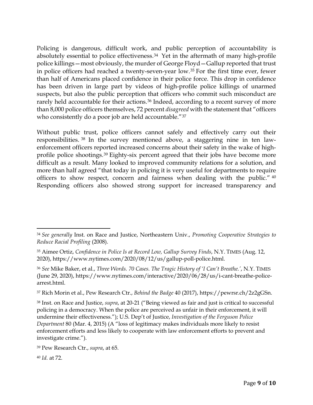Policing is dangerous, difficult work, and public perception of accountability is absolutely essential to police effectiveness.<sup>[34](#page-8-0)</sup> Yet in the aftermath of many high-profile police killings—most obviously, the murder of George Floyd—Gallup reported that trust in police officers had reached a twenty-seven-year low.[35](#page-8-1) For the first time ever, fewer than half of Americans placed confidence in their police force. This drop in confidence has been driven in large part by videos of high-profile police killings of unarmed suspects, but also the public perception that officers who commit such misconduct are rarely held accountable for their actions.<sup>[36](#page-8-2)</sup> Indeed, according to a recent survey of more than 8,000 police officers themselves, 72 percent *disagreed* with the statement that "officers who consistently do a poor job are held accountable."<sup>[37](#page-8-3)</sup>

Without public trust, police officers cannot safely and effectively carry out their responsibilities. [38](#page-8-4) In the survey mentioned above, a staggering nine in ten lawenforcement officers reported increased concerns about their safety in the wake of highprofile police shootings.[39](#page-8-5) Eighty-six percent agreed that their jobs have become more difficult as a result. Many looked to improved community relations for a solution, and more than half agreed "that today in policing it is very useful for departments to require officers to show respect, concern and fairness when dealing with the public." [40](#page-8-6) Responding officers also showed strong support for increased transparency and

<span id="page-8-3"></span><sup>37</sup> Rich Morin et al., Pew Research Ctr., *Behind the Badge* 40 (2017), https://pewrsr.ch/2z2gGSn.

<span id="page-8-4"></span><sup>38</sup> Inst. on Race and Justice, *supra*, at 20-21 ("Being viewed as fair and just is critical to successful policing in a democracy. When the police are perceived as unfair in their enforcement, it will undermine their effectiveness."); U.S. Dep't of Justice, *Investigation of the Ferguson Police Department* 80 (Mar. 4, 2015) (A "loss of legitimacy makes individuals more likely to resist enforcement efforts and less likely to cooperate with law enforcement efforts to prevent and investigate crime.").

<span id="page-8-6"></span><sup>40</sup> *Id.* at 72.

<span id="page-8-0"></span><sup>34</sup> *See generally* Inst. on Race and Justice, Northeastern Univ., *Promoting Cooperative Strategies to Reduce Racial Profiling* (2008).

<span id="page-8-1"></span><sup>35</sup> Aimee Ortiz, *Confidence in Police Is at Record Low, Gallup Survey Finds*, N.Y. TIMES (Aug. 12, 2020), https://www.nytimes.com/2020/08/12/us/gallup-poll-police.html.

<span id="page-8-2"></span><sup>36</sup> *See* Mike Baker, et al., *Three Words. 70 Cases. The Tragic History of 'I Can't Breathe.'*, N.Y. TIMES (June 29, 2020), https://www.nytimes.com/interactive/2020/06/28/us/i-cant-breathe-policearrest.html.

<span id="page-8-5"></span><sup>39</sup> Pew Research Ctr., *supra*, at 65.